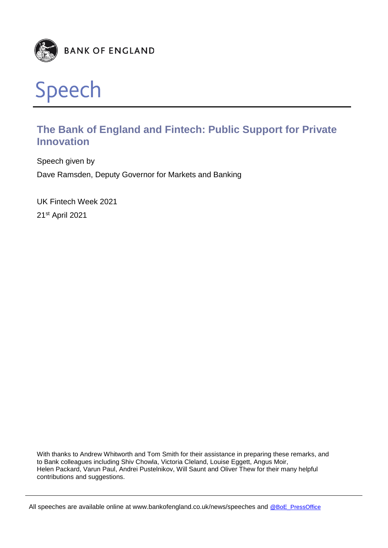



# **The Bank of England and Fintech: Public Support for Private Innovation**

Speech given by Dave Ramsden, Deputy Governor for Markets and Banking

UK Fintech Week 2021 21st April 2021

With thanks to Andrew Whitworth and Tom Smith for their assistance in preparing these remarks, and to Bank colleagues including Shiv Chowla, Victoria Cleland, Louise Eggett, Angus Moir, Helen Packard, Varun Paul, Andrei Pustelnikov, Will Saunt and Oliver Thew for their many helpful contributions and suggestions.

All speeches are available online at www.bankofengland.co.uk/news/speeches and @BoE\_PressOffice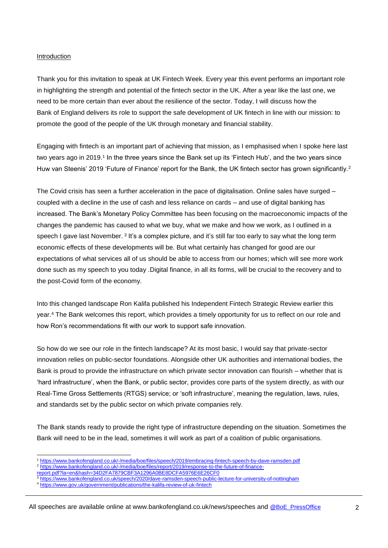#### Introduction

Thank you for this invitation to speak at UK Fintech Week. Every year this event performs an important role in highlighting the strength and potential of the fintech sector in the UK. After a year like the last one, we need to be more certain than ever about the resilience of the sector. Today, I will discuss how the Bank of England delivers its role to support the safe development of UK fintech in line with our mission: to promote the good of the people of the UK through monetary and financial stability.

Engaging with fintech is an important part of achieving that mission, as I emphasised when I spoke here last two years ago in 2019.<sup>1</sup> In the three years since the Bank set up its 'Fintech Hub', and the two years since Huw van Steenis' 2019 'Future of Finance' report for the Bank, the UK fintech sector has grown significantly.<sup>2</sup>

The Covid crisis has seen a further acceleration in the pace of digitalisation. Online sales have surged – coupled with a decline in the use of cash and less reliance on cards – and use of digital banking has increased. The Bank's Monetary Policy Committee has been focusing on the macroeconomic impacts of the changes the pandemic has caused to what we buy, what we make and how we work, as I outlined in a speech I gave last November. <sup>3</sup> It's a complex picture, and it's still far too early to say what the long term economic effects of these developments will be. But what certainly has changed for good are our expectations of what services all of us should be able to access from our homes; which will see more work done such as my speech to you today .Digital finance, in all its forms, will be crucial to the recovery and to the post-Covid form of the economy.

Into this changed landscape Ron Kalifa published his Independent Fintech Strategic Review earlier this year.<sup>4</sup> The Bank welcomes this report, which provides a timely opportunity for us to reflect on our role and how Ron's recommendations fit with our work to support safe innovation.

So how do we see our role in the fintech landscape? At its most basic, I would say that private-sector innovation relies on public-sector foundations. Alongside other UK authorities and international bodies, the Bank is proud to provide the infrastructure on which private sector innovation can flourish – whether that is 'hard infrastructure', when the Bank, or public sector, provides core parts of the system directly, as with our Real-Time Gross Settlements (RTGS) service; or 'soft infrastructure', meaning the regulation, laws, rules, and standards set by the public sector on which private companies rely.

The Bank stands ready to provide the right type of infrastructure depending on the situation. Sometimes the Bank will need to be in the lead, sometimes it will work as part of a coalition of public organisations.

<sup>-</sup><sup>1</sup> https://www.bankofengland.co.uk/-/media/boe/files/speech/2019/embracing-fintech-speech-by-dave-ramsden.pdf

<sup>2</sup> https://www.bankofengland.co.uk/-/media/boe/files/report/2019/response-to-the-future-of-finance-

report.pdf?la=en&hash=34D2FA7879CBF3A1296A0BE8DCFA5976E6E26CF0

https://www.bankofengland.co.uk/speech/2020/dave-ramsden-speech-public-lecture-for-university-of-nottingham

https://www.gov.uk/government/publications/the-kalifa-review-of-uk-fintech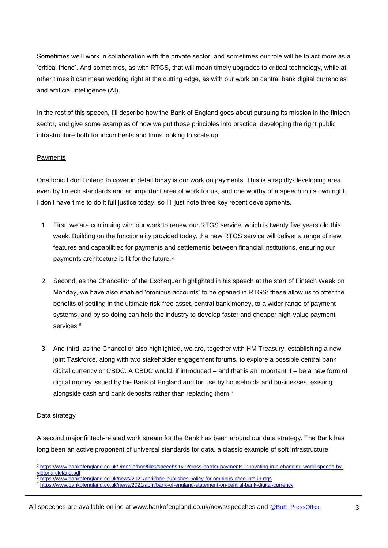Sometimes we'll work in collaboration with the private sector, and sometimes our role will be to act more as a 'critical friend'. And sometimes, as with RTGS, that will mean timely upgrades to critical technology, while at other times it can mean working right at the cutting edge, as with our work on central bank digital currencies and artificial intelligence (AI).

In the rest of this speech, I'll describe how the Bank of England goes about pursuing its mission in the fintech sector, and give some examples of how we put those principles into practice, developing the right public infrastructure both for incumbents and firms looking to scale up.

## **Payments**

One topic I don't intend to cover in detail today is our work on payments. This is a rapidly-developing area even by fintech standards and an important area of work for us, and one worthy of a speech in its own right. I don't have time to do it full justice today, so I'll just note three key recent developments.

- 1. First, we are continuing with our work to renew our RTGS service, which is twenty five years old this week. Building on the functionality provided today, the new RTGS service will deliver a range of new features and capabilities for payments and settlements between financial institutions, ensuring our payments architecture is fit for the future.<sup>5</sup>
- 2. Second, as the Chancellor of the Exchequer highlighted in his speech at the start of Fintech Week on Monday, we have also enabled 'omnibus accounts' to be opened in RTGS: these allow us to offer the benefits of settling in the ultimate risk-free asset, central bank money, to a wider range of payment systems, and by so doing can help the industry to develop faster and cheaper high-value payment services.<sup>6</sup>
- 3. And third, as the Chancellor also highlighted, we are, together with HM Treasury, establishing a new joint Taskforce, along with two stakeholder engagement forums, to explore a possible central bank digital currency or CBDC. A CBDC would, if introduced – and that is an important if – be a new form of digital money issued by the Bank of England and for use by households and businesses, existing alongside cash and bank deposits rather than replacing them.<sup>7</sup>

## Data strategy

A second major fintech-related work stream for the Bank has been around our data strategy. The Bank has long been an active proponent of universal standards for data, a classic example of soft infrastructure.

<sup>-</sup><sup>5</sup> https://www.bankofengland.co.uk/-/media/boe/files/speech/2020/cross-border-payments-innovating-in-a-changing-world-speech-byvictoria-cleland.pdf

<sup>6</sup> https://www.bankofengland.co.uk/news/2021/april/boe-publishes-policy-for-omnibus-accounts-in-rtgs

<sup>7</sup> https://www.bankofengland.co.uk/news/2021/april/bank-of-england-statement-on-central-bank-digital-currency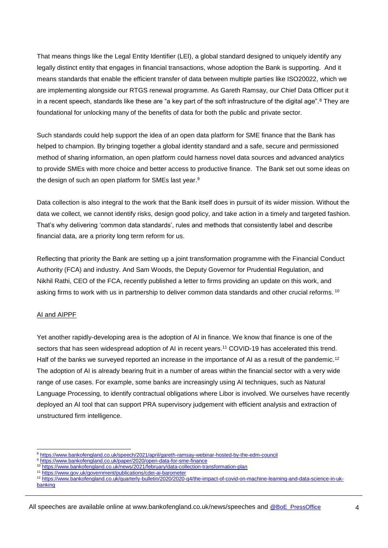That means things like the Legal Entity Identifier (LEI), a global standard designed to uniquely identify any legally distinct entity that engages in financial transactions, whose adoption the Bank is supporting. And it means standards that enable the efficient transfer of data between multiple parties like ISO20022, which we are implementing alongside our RTGS renewal programme. As Gareth Ramsay, our Chief Data Officer put it in a recent speech, standards like these are "a key part of the soft infrastructure of the digital age".<sup>8</sup> They are foundational for unlocking many of the benefits of data for both the public and private sector.

Such standards could help support the idea of an open data platform for SME finance that the Bank has helped to champion. By bringing together a global identity standard and a safe, secure and permissioned method of sharing information, an open platform could harness novel data sources and advanced analytics to provide SMEs with more choice and better access to productive finance. The Bank set out some ideas on the design of such an open platform for SMEs last year.<sup>9</sup>

Data collection is also integral to the work that the Bank itself does in pursuit of its wider mission. Without the data we collect, we cannot identify risks, design good policy, and take action in a timely and targeted fashion. That's why delivering 'common data standards', rules and methods that consistently label and describe financial data, are a priority long term reform for us.

Reflecting that priority the Bank are setting up a joint transformation programme with the Financial Conduct Authority (FCA) and industry. And Sam Woods, the Deputy Governor for Prudential Regulation, and Nikhil Rathi, CEO of the FCA, recently published a letter to firms providing an update on this work, and asking firms to work with us in partnership to deliver common data standards and other crucial reforms. <sup>10</sup>

### AI and AIPPF

Yet another rapidly-developing area is the adoption of AI in finance. We know that finance is one of the sectors that has seen widespread adoption of AI in recent years.<sup>11</sup> COVID-19 has accelerated this trend. Half of the banks we surveyed reported an increase in the importance of AI as a result of the pandemic.<sup>12</sup> The adoption of AI is already bearing fruit in a number of areas within the financial sector with a very wide range of use cases. For example, some banks are increasingly using AI techniques, such as Natural Language Processing, to identify contractual obligations where Libor is involved. We ourselves have recently deployed an AI tool that can support PRA supervisory judgement with efficient analysis and extraction of unstructured firm intelligence.

<sup>-</sup><sup>8</sup> https://www.bankofengland.co.uk/speech/2021/april/gareth-ramsay-webinar-hosted-by-the-edm-council

<sup>9</sup> https://www.bankofengland.co.uk/paper/2020/open-data-for-sme-finance

<sup>10</sup> https://www.bankofengland.co.uk/news/2021/february/data-collection-transformation-plan

<sup>11</sup> https://www.gov.uk/government/publications/cdei-ai-barometer

<sup>12</sup> https://www.bankofengland.co.uk/quarterly-bulletin/2020/2020-q4/the-impact-of-covid-on-machine-learning-and-data-science-in-ukbanking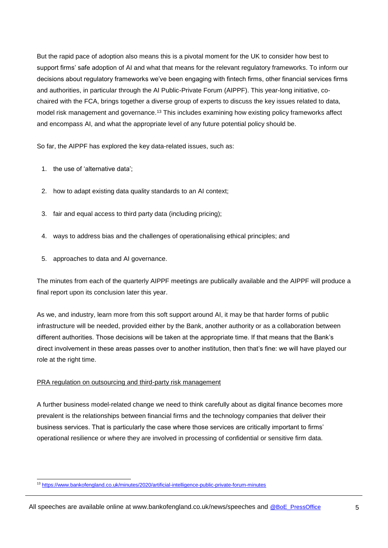But the rapid pace of adoption also means this is a pivotal moment for the UK to consider how best to support firms' safe adoption of AI and what that means for the relevant regulatory frameworks. To inform our decisions about regulatory frameworks we've been engaging with fintech firms, other financial services firms and authorities, in particular through the AI Public-Private Forum (AIPPF). This year-long initiative, cochaired with the FCA, brings together a diverse group of experts to discuss the key issues related to data, model risk management and governance.<sup>13</sup> This includes examining how existing policy frameworks affect and encompass AI, and what the appropriate level of any future potential policy should be.

So far, the AIPPF has explored the key data-related issues, such as:

- 1. the use of 'alternative data';
- 2. how to adapt existing data quality standards to an AI context;
- 3. fair and equal access to third party data (including pricing);
- 4. ways to address bias and the challenges of operationalising ethical principles; and
- 5. approaches to data and AI governance.

The minutes from each of the quarterly AIPPF meetings are publically available and the AIPPF will produce a final report upon its conclusion later this year.

As we, and industry, learn more from this soft support around AI, it may be that harder forms of public infrastructure will be needed, provided either by the Bank, another authority or as a collaboration between different authorities. Those decisions will be taken at the appropriate time. If that means that the Bank's direct involvement in these areas passes over to another institution, then that's fine: we will have played our role at the right time.

#### PRA regulation on outsourcing and third-party risk management

A further business model-related change we need to think carefully about as digital finance becomes more prevalent is the relationships between financial firms and the technology companies that deliver their business services. That is particularly the case where those services are critically important to firms' operational resilience or where they are involved in processing of confidential or sensitive firm data.

<sup>-</sup><sup>13</sup> https://www.bankofengland.co.uk/minutes/2020/artificial-intelligence-public-private-forum-minutes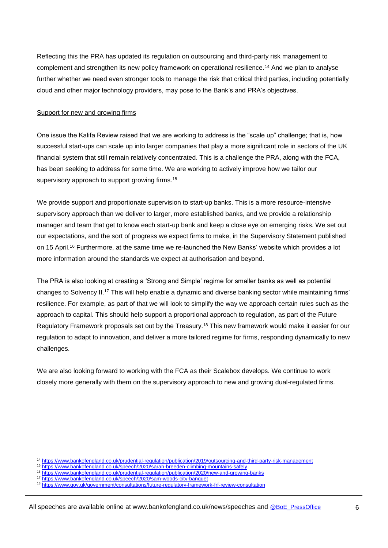Reflecting this the PRA has updated its regulation on outsourcing and third-party risk management to complement and strengthen its new policy framework on operational resilience.<sup>14</sup> And we plan to analyse further whether we need even stronger tools to manage the risk that critical third parties, including potentially cloud and other major technology providers, may pose to the Bank's and PRA's objectives.

### Support for new and growing firms

One issue the Kalifa Review raised that we are working to address is the "scale up" challenge; that is, how successful start-ups can scale up into larger companies that play a more significant role in sectors of the UK financial system that still remain relatively concentrated. This is a challenge the PRA, along with the FCA, has been seeking to address for some time. We are working to actively improve how we tailor our supervisory approach to support growing firms.<sup>15</sup>

We provide support and proportionate supervision to start-up banks. This is a more resource-intensive supervisory approach than we deliver to larger, more established banks, and we provide a relationship manager and team that get to know each start-up bank and keep a close eye on emerging risks. We set out our expectations, and the sort of progress we expect firms to make, in the Supervisory Statement published on 15 April.<sup>16</sup> Furthermore, at the same time we re-launched the New Banks' website which provides a lot more information around the standards we expect at authorisation and beyond.

The PRA is also looking at creating a 'Strong and Simple' regime for smaller banks as well as potential changes to Solvency II.<sup>17</sup> This will help enable a dynamic and diverse banking sector while maintaining firms' resilience. For example, as part of that we will look to simplify the way we approach certain rules such as the approach to capital. This should help support a proportional approach to regulation, as part of the Future Regulatory Framework proposals set out by the Treasury.<sup>18</sup> This new framework would make it easier for our regulation to adapt to innovation, and deliver a more tailored regime for firms, responding dynamically to new challenges.

We are also looking forward to working with the FCA as their Scalebox develops. We continue to work closely more generally with them on the supervisory approach to new and growing dual-regulated firms.

<sup>-</sup><sup>14</sup> https://www.bankofengland.co.uk/prudential-regulation/publication/2019/outsourcing-and-third-party-risk-management

<sup>15</sup> https://www.bankofengland.co.uk/speech/2020/sarah-breeden-climbing-mountains-safely

<sup>16</sup> https://www.bankofengland.co.uk/prudential-regulation/publication/2020/new-and-growing-banks

<sup>17</sup> https://www.bankofengland.co.uk/speech/2020/sam-woods-city-banquet

<sup>18</sup> https://www.gov.uk/government/consultations/future-regulatory-framework-frf-review-consultation